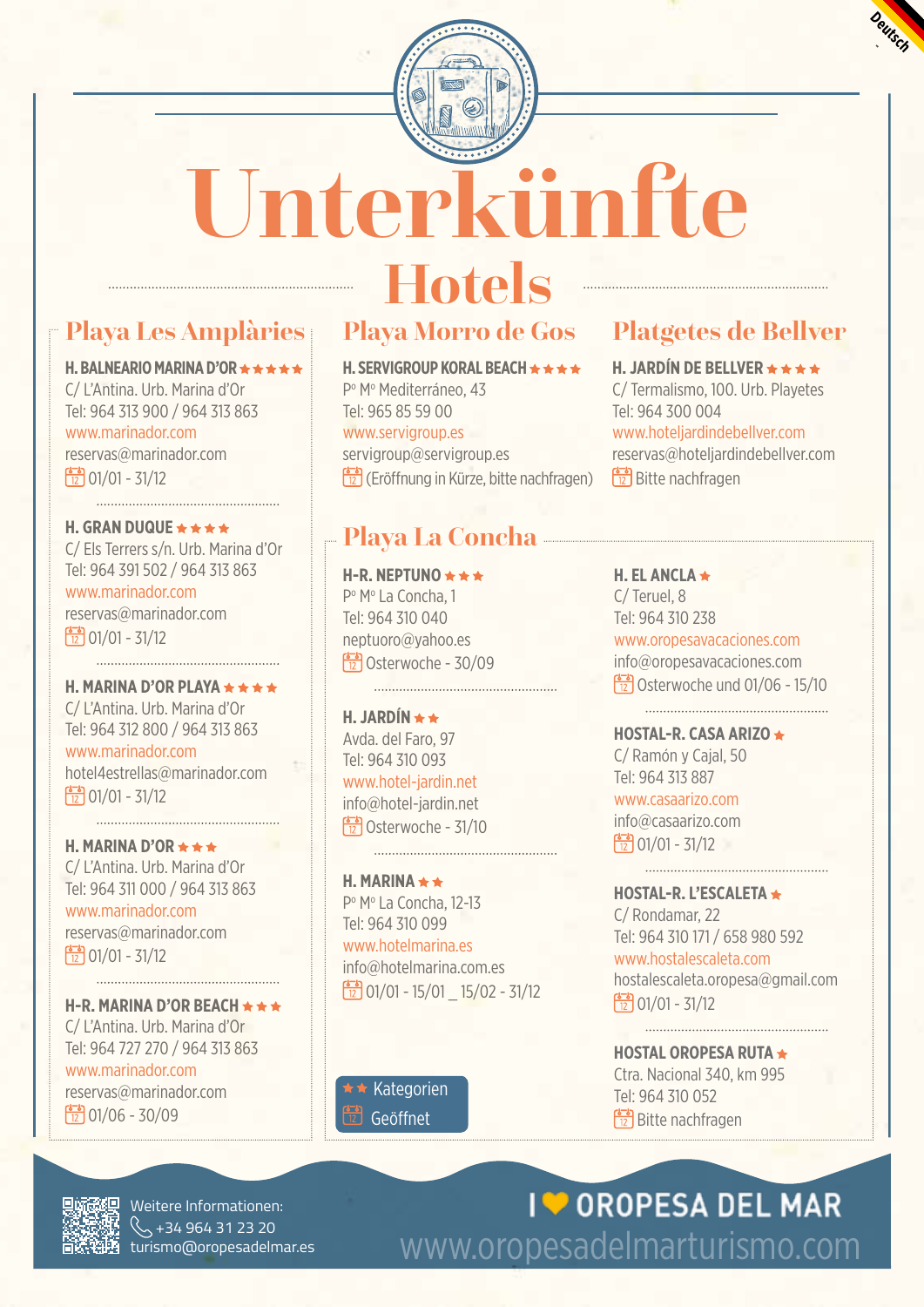



# **Hotels**<br>Playa Morro de Gos **Unterkünfte**

# **Playa Les Amplàries Playa Morro de Gos Platgetes de Bellver**

### **H. BALNEARIO MARINA D'OR ★ ★ ★ ★ ★**

C/ L'Antina. Urb. Marina d'Or Tel: 964 313 900 / 964 313 863 www.marinador.com reservas@marinador.com  $\frac{12}{12}$  01/01 - 31/12

**H. GRAN DUQUE ★ ★ ★ ★** C/ Els Terrers s/n. Urb. Marina d'Or Tel: 964 391 502 / 964 313 863 www.marinador.com

reservas@marinador.com  $\frac{1}{12}$  01/01 - 31/12 

**H. MARINA D'OR PLAYA**  C/ L'Antina. Urb. Marina d'Or Tel: 964 312 800 / 964 313 863

www.marinador.com hotel4estrellas@marinador.com  $\frac{1}{12}$  01/01 - 31/12

**H. MARINA D'OR**  C/ L'Antina. Urb. Marina d'Or Tel: 964 311 000 / 964 313 863 www.marinador.com

reservas@marinador.com  $\frac{1}{12}$  01/01 - 31/12

**H-R. MARINA D'OR BEACH**  C/ L'Antina. Urb. Marina d'Or Tel: 964 727 270 / 964 313 863 www.marinador.com

reservas@marinador.com  $\frac{12}{12}$  01/06 - 30/09

**H. SERVIGROUP KORAL BEACH ★ ★ ★ ★** Pº Mº Mediterráneo, 43 Tel: 965 85 59 00 www.servigroup.es servigroup@servigroup.es  $\left(\frac{1}{2}\right)$  (Eröffnung in Kürze, bitte nachfragen)

## **Playa La Concha**

 $\begin{picture}(10,10) \put(0,0){\vector(1,0){10}} \put(10,0){\vector(1,0){10}} \put(10,0){\vector(1,0){10}} \put(10,0){\vector(1,0){10}} \put(10,0){\vector(1,0){10}} \put(10,0){\vector(1,0){10}} \put(10,0){\vector(1,0){10}} \put(10,0){\vector(1,0){10}} \put(10,0){\vector(1,0){10}} \put(10,0){\vector(1,0){10}} \put(10,0){\vector(1,0){10}} \put(10,0){\vector(1$ 

**H-R. NEPTUNO**  Pº Mº La Concha, 1 Tel: 964 310 040 neptuoro@yahoo.es  $\frac{12}{12}$ Osterwoche - 30/09

**H. JARDÍN**  Avda. del Faro, 97 Tel: 964 310 093 www.hotel-jardin.net info@hotel-jardin.net Osterwoche - 31/10

**H. MARINA**  Pº Mº La Concha, 12-13 Tel: 964 310 099 www.hotelmarina.es info@hotelmarina.com.es  $\frac{1}{12}$  01/01 - 15/01 15/02 - 31/12

 $\star$  Kategorien

### **H. JARDÍN DE BELLVER**

C/ Termalismo, 100. Urb. Playetes Tel: 964 300 004 www.hoteljardindebellver.com reservas@hoteljardindebellver.com Bitte nachfragen

**H. EL ANCLA**  C/ Teruel, 8 Tel: 964 310 238 www.oropesavacaciones.com info@oropesavacaciones.com Osterwoche und 01/06 - 15/10

**HOSTAL-R. CASA ARIZO**  C/ Ramón y Cajal, 50 Tel: 964 313 887 www.casaarizo.com

info@casaarizo.com  $\frac{12}{12}$  01/01 - 31/12

**HOSTAL-R. L'ESCALETA**  C/ Rondamar, 22 Tel: 964 310 171 / 658 980 592 www.hostalescaleta.com hostalescaleta.oropesa@gmail.com  $\frac{125}{12}$  01/01 - 31/12

**HOSTAL OROPESA RUTA**  Ctra. Nacional 340, km 995 Tel: 964 310 052 Geöffnet Bitte nachfragen



Weitere Informationen:  $\left\{\begin{matrix} \diagdown, +34964312320 \ \diagdown, \ \text{turismo@oropesadelmar.} \end{matrix}\right.$ 

I OROPESA DEL MAR www.oropesadelmarturismo.com